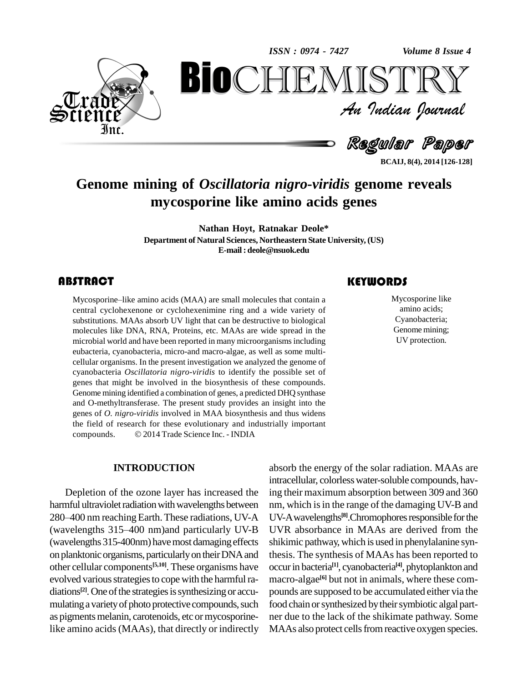*Volume 8 Issue 4*



*Volume 8 Issue 4*<br> $\begin{array}{c} \bigcirc \mathbb{T} \mathbb{R} \mathbb{Y} \ \mathcal{I} \end{array}$ **BioCHEMISTRY**<br>Au Indian Journal<br>Regular Paper<br>of Oscillatoria nigro-viridis genome reveals<br>osporine like amino acids genes

Regular Paper

**BCAIJ, 8(4), 2014 [126-128]**

# **Genome mining of** *Oscillatoria nigro-viridis* **genome reveals mycosporine like amino acids genes**

**Nathan Hoyt, Ratnakar Deole\* Department of Natural Sciences, Northeastern State University, (US) E-mail: [deole@nsuok.edu](mailto:deole@nsuok.edu)**

Mycosporine–like amino<br>central cyclohexenone o<br>substitutions. MAAs abso **ABSTRACT**<br>Mycosporine–like amino acids (MAA) are small molecules that contain a Mycosporine–like amino acids (MAA) are small molecules that contain a central cyclohexenone or cyclohexenimine ring and a wide variety of substitutions. MAAs absorb UV light that can be destructive to biological molecules like DNA, RNA, Proteins, etc. MAAs are wide spread in the microbial world and have been reported in many microorganisms including eubacteria, cyanobacteria, micro-and macro-algae, as well as some multi cellular organisms. In the present investigation we analyzed the genome of cyanobacteria *Oscillatoria nigro-viridis* to identify the possible set of genes that might be involved in the biosynthesis of these compounds. Genome mining identified a combination of genes, a predicted DHQ synthase and O-methyltransferase. The present study provides an insight into the genes of *O. nigro-viridis* involved in MAA biosynthesis and thus widens compounds. 2014Trade Science Inc. - INDIA the field of research for these evolutionary and industrially important

#### **INTRODUCTION**

Depletion of the ozone layer has increased the harmful ultraviolet radiation with wavelengths between nm, wh Depletion of the ozone layer has increased the ing their mannful ultraviolet radiation with wavelengths between nm, which 280–400 nm reaching Earth. These radiations, UV-A UV-A wave harmful ultraviolet radiation with wavelengths between mm, which<br>280–400 nm reaching Earth. These radiations, UV-A UV-A wav<br>(wavelengths 315–400 nm)and particularly UV-B UVR abs (wavelengths 315-400nm) have most damaging effects on planktonic organisms, particularly on their DNA and other cellular components **[5,10]**. These organisms have evolved various strategies to cope with the harmful radiations<sup>[2]</sup>. One of the strategies is synthesizing or accu- pou mulating a variety of photo protective compounds, such as pigments melanin, carotenoids, etc or mycosporinelike amino acids(MAAs), that directly or indirectly

Mycosporine li<br>amino acids;<br>Cyanobacteria Mycosporine like amino acids; Cyanobacteria; Genome mining; UV protection.

absorb the energy of the solar radiation. MAAs are intracellular, colorlesswater-soluble compounds, having their maximum absorption between 309 and 360 nm, which is in the range of the damaging UV-B and UV-A wavelengths<sup>[8]</sup>.Chromophores responsible for the UVR absorbance in MAAs are derived from the shikimic pathway, which is used in phenylalanine synthesis. The synthesis of MAAs has been reported to occurin bacteria **[1]**, cyanobacteria **[4]**, phytoplankton and macro-algae **[6]** but not in animals, where these com pounds are supposed to be accumulated either via the food chain or synthesized by their symbiotic algal partner due to the lack of the shikimate pathway. Some MAAs also protect cells from reactive oxygen species.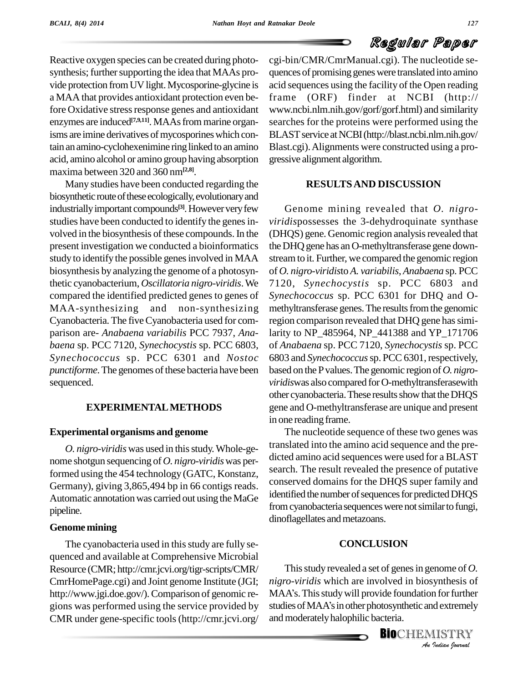# Regular Paper

Reactive oxygen species can be created during photo synthesis; further supporting the idea that MAAs provide protection from UV light. Mycosporine-glycine is a MAA that provides antioxidant protection even before Oxidative stress response genes and antioxidant enzymes are induced **[7,9,11]**. MAAsfrommarine organisms are imine derivatives of mycosporines which contain an amino-cyclohexenimine ring linked to an amino acid, amino alcohol or amino group having absorption maxima between 320 and 360 nm**[2,8]**.

Many studies have been conducted regarding the biosynthetic route of these ecologically, evolutionary and industrially important compounds<sup>[3]</sup>. However very few Genon studies have been conducted to identify the genes involved in the biosynthesis of these compounds. In the present investigation we conducted a bioinformatics study to identify the possible genes involved in MAA biosynthesis by analyzing the genome of a photosynthetic cyanobacterium, *Oscillatoria nigro-viridis*.We compared the identified predicted genes to genes of MAA-synthesizing and non-synthesizing Cyanobacteria. The fiveCyanobacteria used for com parison are- *Anabaena variabilis* PCC 7937, *Ana baena* sp. PCC 7120, *Synechocystis* sp. PCC 6803, *Synechococcus* sp. PCC 6301 and *Nostoc punctiforme*. The genomes of these bacteria have been sequenced.

### **EXPERIMENTALMETHODS**

#### **Experimental organisms and genome**

*O. nigro-viridis* was used in thisstudy.Whole-ge nome shotgun sequencing of *O. nigro-viridis*was performed using the 454 technology (GATC, Konstanz, Germany), giving 3,865,494 bp in 66 contigs reads. Automatic annotation was carried out using the MaGe pipeline.

#### **Genome mining**

The cyanobacteria used in this study are fully sequenced and available at Comprehensive Microbial Resource (CMR; <http://cmr.jcvi.org/tigr-scripts/CMR/> CmrHomePage.cgi) and Joint genome Institute (JGI; CMR under gene-specific tools (http://cmr.jcvi.org/

cgi-bin/CMR/CmrManual.cgi). The nucleotide se quences of promising geneswere translated into amino acid sequences using the facility of the Open reading  $(ORF)$  finder at NCBI (http:// [www.ncbi.nlm.nih.gov/gorf/gorf.html\)](http://www.ncbi.nlm.nih.gov/gorf/gorf.html)) and similarity searches for the proteins were performed using the BLAST service at NCBI (http://blast.ncbi.nlm.nih.gov/ Blast.cgi).Alignments were constructed using a pro gressive alignment algorithm.

### **RESULTSAND DISCUSSION**

Genome mining revealed that *O. nigro viridis*possesses the 3-dehydroquinate synthase (DHQS) gene. Genomic region analysis revealed that the DHQ gene has an O-methyltransferase gene downstreamto it. Further, we compared the genomic region of *O. nigro-viridis*to *A. variabilis*, *Anabaena* sp. PCC 7120, *Synechocystis* sp. PCC 6803 and *Synechococcus* sp. PCC 6301 for DHQ and O methyltransferase genes. The results from the genomic region comparison revealed that DHQ gene has similarity to NP\_485964, NP\_441388 and YP\_171706 of *Anabaena* sp. PCC 7120, *Synechocystis* sp. PCC 6803 and *Synechococcus* sp. PCC 6301, respectively, based on thePvalues.The genomic region of*O. nigro viridis*was also compared forO-methyltransferasewith other cyanobacteria. These results show that the DHQS gene and O-methyltransferase are unique and present in one reading frame.

The nucleotide sequence of these two genes was translated into the amino acid sequence and the pre dicted amino acid sequences were used for aBLAST search. The result revealed the presence of putative conserved domains for the DHQS super family and identified the number of sequences for predicted DHQS from cyanobacteria sequences were not similar to fungi, dinoflagellates and metazoans.

#### **CONCLUSION**

*An*Thisstudy revealed a setof genesin genome of *O. Indian*<br>*In for further*<br>*IISTRY*<br>*IISTRY* http://www.jgi.doe.gov/). Comparison of genomic re- MAA's. This study will provide foundation for further gions was performed using the service provided by studies of MAA's in other photosynthetic and extremely *nigro-viridis* which are involved in biosynthesis of This study revealed a set of genes in genome of *O*.<br>*nigro-viridis* which are involved in biosynthesis of<br>MAA's. This study will provide foundation for further nigro-viridis which are involved in biosynthesis of<br>MAA's. This study will provide foundation for further<br>studies of MAA's in other photosynthetic and extremely and moderately halophilic bacteria.